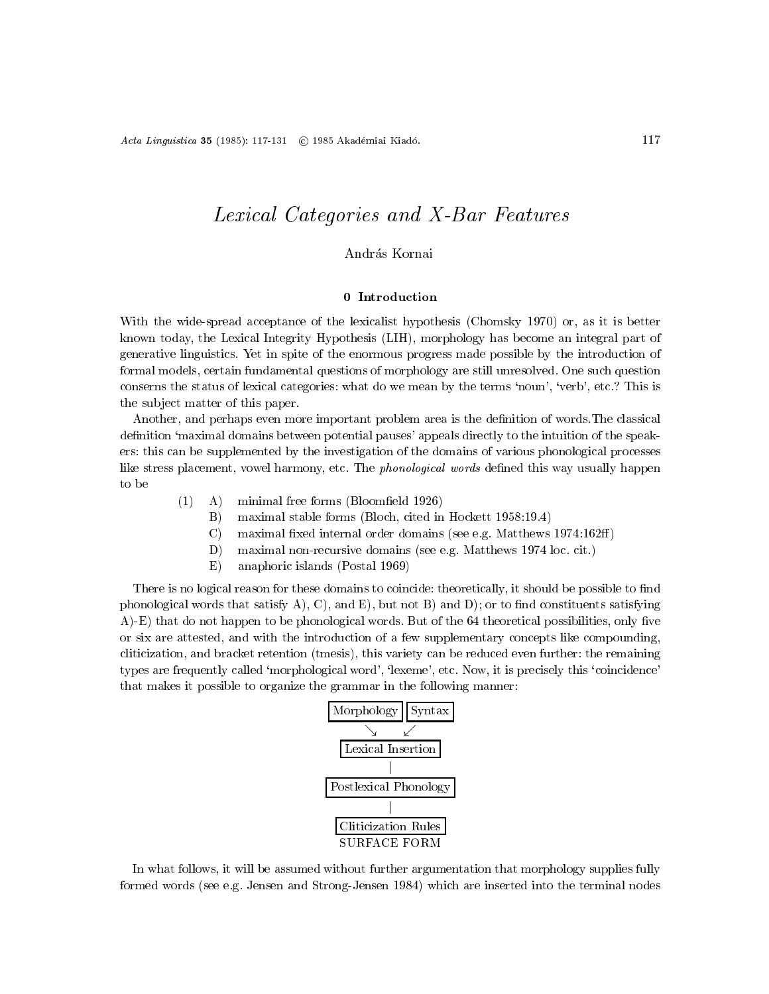# Lexical Categories and X-Bar Features

# András Kornai

With the wide-spread acceptance of the lexicalist hypothesis (Chomsky 1970) or, as it is better known today, the Lexical Integrity Hypothesis (LIH), morphology has become an integral part of generative linguistics. Yet in spite of the enormous progress made possible by the introduction of formal models, certain fundamental questions of morphology are still unresolved. One such question conserns the status of lexical categories: what do we mean by the terms `noun', `verb', etc.? This is the sub ject matter of this paper.

Another, and perhaps even more important problem area is the definition of words. The classical definition 'maximal domains between potential pauses' appeals directly to the intuition of the speakers: this can be supplemented by the investigation of the domains of various phonological processes like stress placement, vowel harmony, etc. The *phonological words* defined this way usually happen

- $(1)$  A) minimal free forms (Bloomfield 1926)
	- B) maximal stable forms (Bloch, cited in Hockett 1958:19.4)
	- C) maximal fixed internal order domains (see e.g. Matthews  $1974:162ff$ )
	- D) maximal non-recursive domains (see e.g. Matthews 1974 loc. cit.)
	- E) anaphoric islands (Postal 1969)

There is no logical reason for these domains to coincide: theoretically, it should be possible to find phonological words that satisfy A), C), and E), but not B) and D); or to find constituents satisfying  $(A)$ -E) that do not happen to be phonological words. But of the 64 theoretical possibilities, only five or six are attested, and with the introduction of a few supplementary concepts like compounding, cliticization, and bracket retention (tmesis), this variety can be reduced even further: the remaining types are frequently called 'morphological word', 'lexeme', etc. Now, it is precisely this 'coincidence' that makes it possible to organize the grammar in the following manner:



In what follows, it will be assumed without further argumentation that morphology supplies fully formed words (see e.g. Jensen and Strong-Jensen 1984) which are inserted into the terminal nodes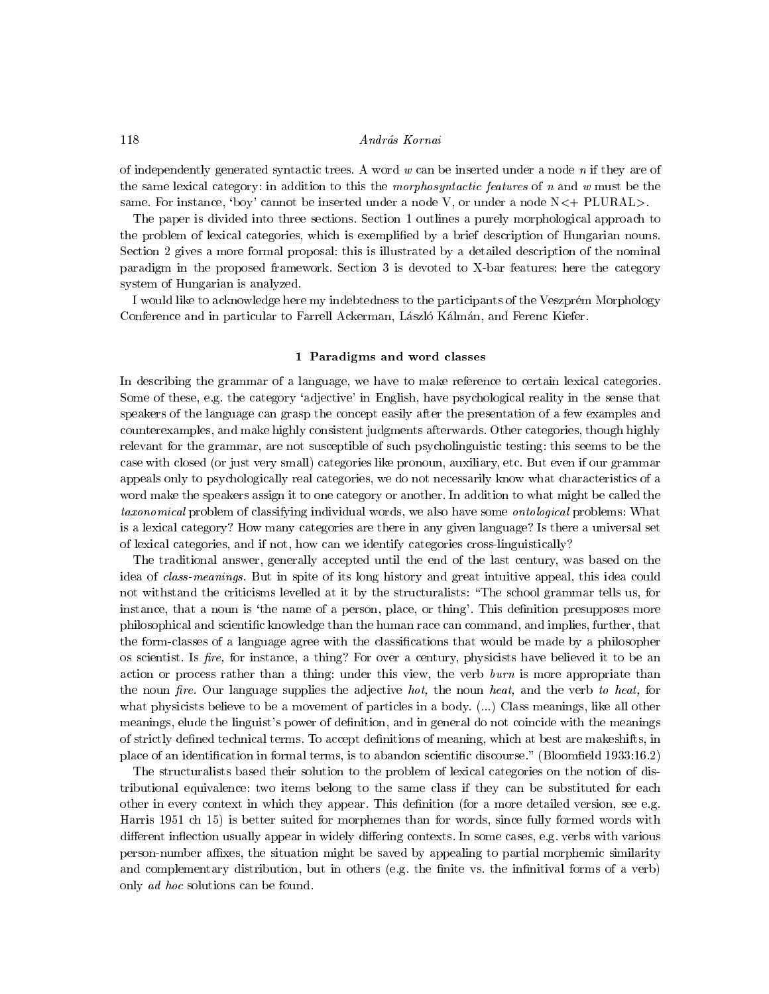## András Kornai

of independently generated syntactic trees. A word  $w$  can be inserted under a node  $n$  if they are of the same lexical category: in addition to this the *morphosyntactic features* of n and w must be the same. For instance, 'boy' cannot be inserted under a node  $V$ , or under a node  $N<+$  PLURAL $>$ .

The paper is divided into three sections. Section 1 outlines a purely morphological approach to the problem of lexical categories, which is exemplied by a brief description of Hungarian nouns. Section 2 gives a more formal proposal: this is illustrated by a detailed description of the nominal paradigm in the proposed framework. Section 3 is devoted to X-bar features: here the category system of Hungarian is analyzed.

I would like to acknowledge here my indebtedness to the participants of the Veszprem Morphology Conference and in particular to Farrell Ackerman, László Kálmán, and Ferenc Kiefer.

#### 1 Taradigms and word classes

In describing the grammar of a language, we have to make reference to certain lexical categories. Some of these, e.g. the category 'adjective' in English, have psychological reality in the sense that speakers of the language can grasp the concept easily after the presentation of a few examples and counterexamples, and make highly consistent judgments afterwards. Other categories, though highly relevant for the grammar, are not susceptible of such psycholinguistic testing: this seems to be the case with closed (or just very small) categories like pronoun, auxiliary, etc. But even if our grammar appeals only to psychologically real categories, we do not necessarily know what characteristics of a word make the speakers assign it to one category or another. In addition to what might be called the taxonomical problem of classifying individual words, we also have some ontological problems: What is a lexical category? How many categories are there in any given language? Is there a universal set of lexical categories, and if not, how can we identify categories cross-linguistically?

The traditional answer, generally accepted until the end of the last century, was based on the idea of class-meanings. But in spite of its long history and great intuitive appeal, this idea could not withstand the criticisms levelled at it by the structuralists: "The school grammar tells us, for instance, that a noun is 'the name of a person, place, or thing'. This definition presupposes more philosophical and scientic knowledge than the human race can command, and implies, further, that the form-classes of a language agree with the classications that would be made by a philosopher os scientist. Is *fire*, for instance, a thing? For over a century, physicists have believed it to be an action or process rather than a thing: under this view, the verb burn is more appropriate than the noun fire. Our language supplies the adjective hot, the noun heat, and the verb to heat, for what physicists believe to be a movement of particles in a body. (...) Class meanings, like all other meanings, elude the linguist's power of definition, and in general do not coincide with the meanings of strictly defined technical terms. To accept definitions of meaning, which at best are makeshifts, in place of an identification in formal terms, is to abandon scientific discourse." (Bloomfield 1933:16.2)

The structuralists based their solution to the problem of lexical categories on the notion of distributional equivalence: two items belong to the same class if they can be substituted for each other in every context in which they appear. This definition (for a more detailed version, see e.g. Harris 1951 ch 15) is better suited for morphemes than for words, since fully formed words with different inflection usually appear in widely differing contexts. In some cases, e.g. verbs with various person-number affixes, the situation might be saved by appealing to partial morphemic similarity and complementary distribution, but in others (e.g. the finite vs. the infinitival forms of a verb) only ad hoc solutions can be found.

118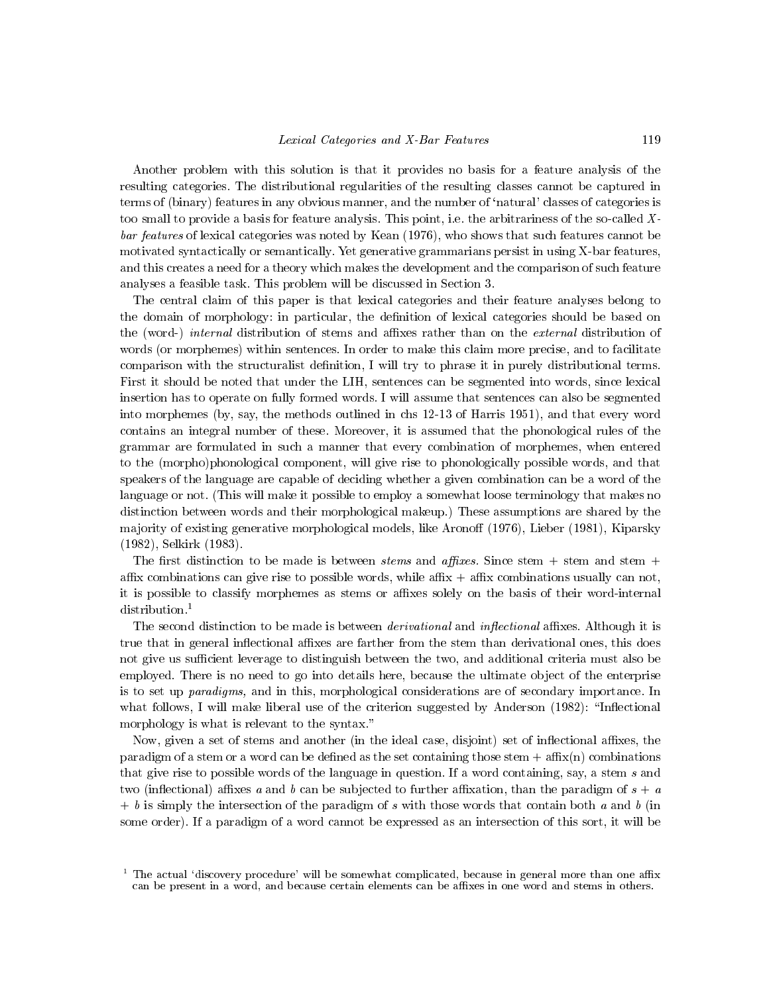Another problem with this solution is that it provides no basis for a feature analysis of the resulting categories. The distributional regularities of the resulting classes cannot be captured in terms of (binary) features in any obvious manner, and the number of `natural' classes of categories is too small to provide a basis for feature analysis. This point, i.e. the arbitrariness of the so-called Xbar features of lexical categories was noted by Kean (1976), who shows that such features cannot be motivated syntactically or semantically. Yet generative grammarians persist in using X-bar features, and this creates a need for a theory which makes the development and the comparison of such feature analyses a feasible task. This problem will be discussed in Section 3.

The central claim of this paper is that lexical categories and their feature analyses belong to the domain of morphology: in particular, the definition of lexical categories should be based on the (word-) *internal* distribution of stems and affixes rather than on the *external* distribution of words (or morphemes) within sentences. In order to make this claim more precise, and to facilitate comparison with the structuralist definition, I will try to phrase it in purely distributional terms. First it should be noted that under the LIH, sentences can be segmented into words, since lexical insertion has to operate on fully formed words. I will assume that sentences can also be segmented into morphemes (by, say, the methods outlined in chs 12-13 of Harris 1951), and that every word contains an integral number of these. Moreover, it is assumed that the phonological rules of the grammar are formulated in such a manner that every combination of morphemes, when entered to the (morpho)phonological component, will give rise to phonologically possible words, and that speakers of the language are capable of deciding whether a given combination can be a word of the language or not. (This will make it possible to employ a somewhat loose terminology that makes no distinction between words and their morphological makeup.) These assumptions are shared by the majority of existing generative morphological models, like Aronoff (1976), Lieber (1981), Kiparsky (1982), Selkirk (1983).

The first distinction to be made is between *stems* and *affixes*. Since stem  $+$  stem and stem  $+$ affix combinations can give rise to possible words, while affix  $+$  affix combinations usually can not, it is possible to classify morphemes as stems or affixes solely on the basis of their word-internal distribution.<sup>1</sup>

The second distinction to be made is between *derivational* and *inflectional* affixes. Although it is true that in general inflectional affixes are farther from the stem than derivational ones, this does not give us sufficient leverage to distinguish between the two, and additional criteria must also be employed. There is no need to go into details here, because the ultimate object of the enterprise is to set up paradigms, and in this, morphological considerations are of secondary importance. In what follows, I will make liberal use of the criterion suggested by Anderson  $(1982)$ : "Inflectional morphology is what is relevant to the syntax."

Now, given a set of stems and another (in the ideal case, disjoint) set of inflectional affixes, the paradigm of a stem or a word can be defined as the set containing those stem  $+$  affix(n) combinations that give rise to possible words of the language in question. If a word containing, say, a stem s and two (inflectional) affixes a and b can be subjected to further affixation, than the paradigm of  $s + a$  $+ b$  is simply the intersection of the paradigm of s with those words that contain both a and b (in some order). If a paradigm of a word cannot be expressed as an intersection of this sort, it will be

 $^{\prime}$  The actual 'discovery procedure' will be somewhat complicated, because in general more than one affix can be present in a word, and because certain elements can be affixes in one word and stems in others.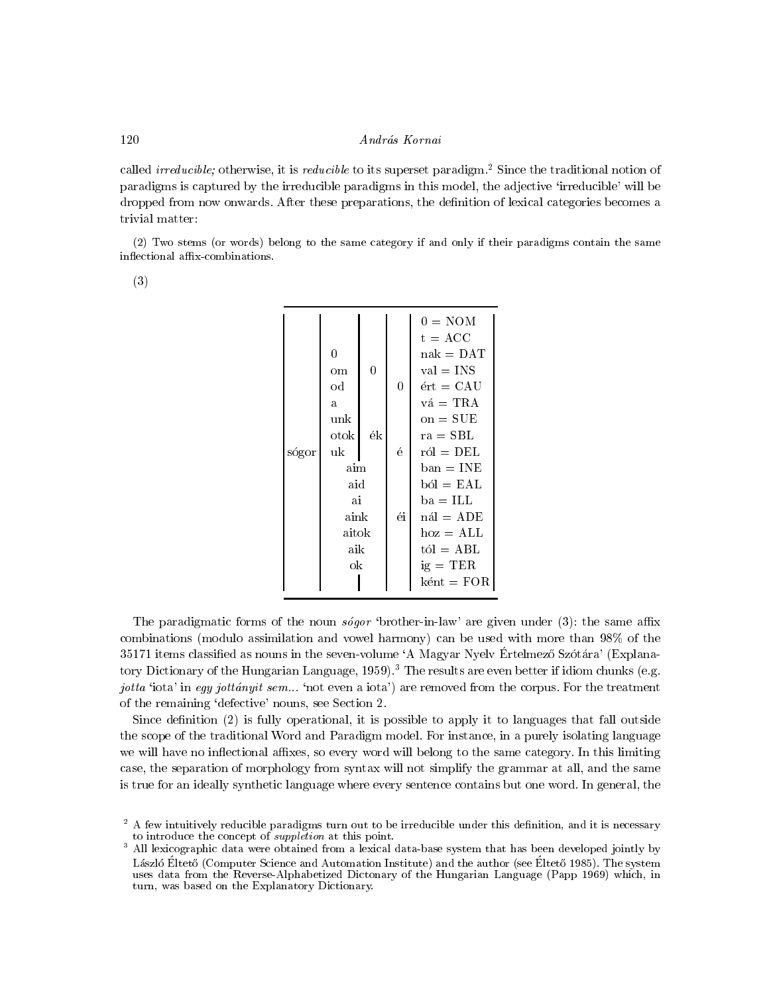called *irreducible*; otherwise, it is *reducible* to its superset paradigm.<sup>2</sup> Since the traditional notion of paradigms is captured by the irreducible paradigms in this model, the adjective 'irreducible' will be dropped from now onwards. After these preparations, the definition of lexical categories becomes a trivial matter:

(2) Two stems (or words) belong to the same category if and only if their paradigms contain the same inflectional affix-combinations.

(3)

|       |       |     |    | $0 = NOM$                 |
|-------|-------|-----|----|---------------------------|
|       |       |     |    | $t = ACC$                 |
|       | 0     |     |    | $nak = DAT$               |
|       | om    | 0   |    | $val = INS$               |
|       | od    |     | 0  | $ért = CAU$               |
|       | a.    |     |    | $v\acute{a} = TRA$        |
|       | unk   |     |    | $on = SUE$                |
|       | otok  | ék  |    | $ra = SBL$                |
| sógor | uk    |     | é  | $r \delta l = \text{DEL}$ |
|       | aim   |     |    | $ban = INE$               |
|       |       | aid |    | $b\delta l = EAL$         |
|       | ai    |     |    | $ba = ILL$                |
|       | aink  |     | éi | $n\acute{a}l = ADE$       |
|       | aitok |     |    | $hoz = ALL$               |
|       | aik   |     |    | $t$ ól = ABL              |
|       | ok    |     |    | $ig = TER$                |
|       |       |     |    | $k$ ént = $FOR$           |

The paradigmatic forms of the noun  $s\acute{o}g\acute{o}r$  'brother-in-law' are given under (3): the same affix combinations (modulo assimilation and vowel harmony) can be used with more than 98% of the 35171 items classified as nouns in the seven-volume 'A Magyar Nyelv Ertelmező Szótára' (Explanatory Dictionary of the Hungarian Language, 1959).<sup>3</sup> The results are even better if idiom chunks (e.g. jotta 'iota' in egy jottányit sem... 'not even a iota') are removed from the corpus. For the treatment of the remaining `defective' nouns, see Section 2.

Since definition  $(2)$  is fully operational, it is possible to apply it to languages that fall outside the scope of the traditional Word and Paradigm model. For instance, in a purely isolating language we will have no inflectional affixes, so every word will belong to the same category. In this limiting case, the separation of morphology from syntax will not simplify the grammar at all, and the same is true for an ideally synthetic language where every sentence contains but one word. In general, the

<sup>2</sup> A few intuitively reducible paradigms turn out to be irreducible under this denition, and it is necessary to introduce the concept of *suppletion* at this point.

<sup>3</sup> All lexicographic data were obtained from a lexical data-base system that has been developed jointly by László Éltető (Computer Science and Automation Institute) and the author (see Éltető 1985). The system uses data from the Reverse-Alphabetized Dictonary of the Hungarian Language (Papp 1969) which, in turn, was based on the Explanatory Dictionary.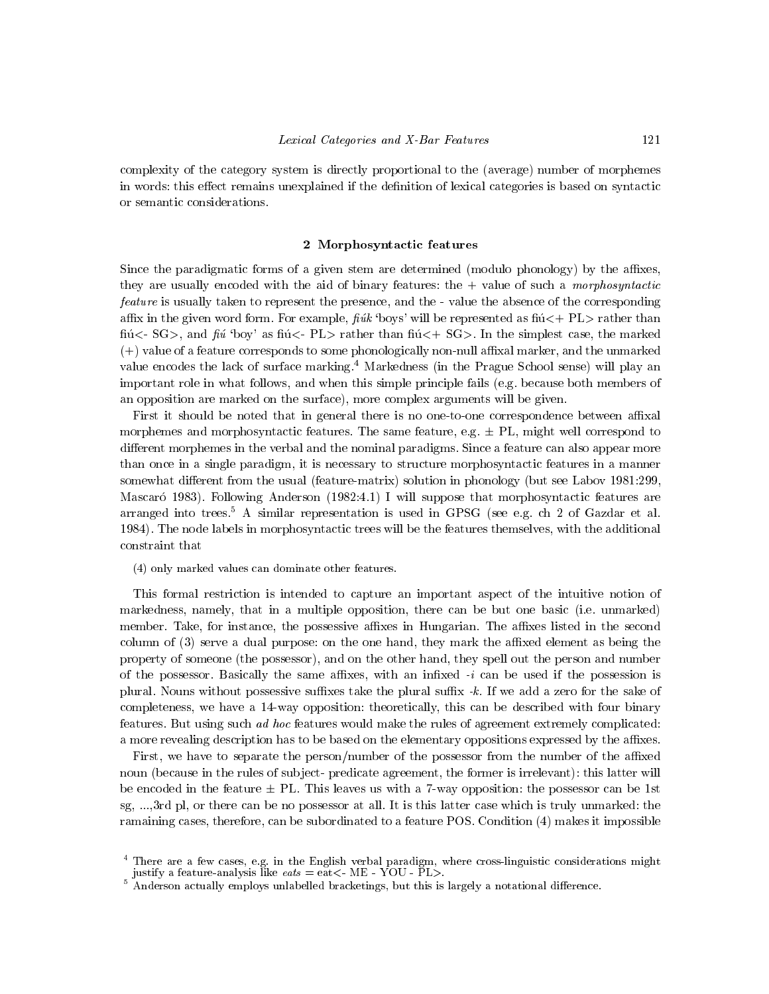complexity of the category system is directly proportional to the (average) number of morphemes in words: this effect remains unexplained if the definition of lexical categories is based on syntactic or semantic considerations.

#### $2.2$  Morphosyntactic features  $2.2$

Since the paradigmatic forms of a given stem are determined (modulo phonology) by the affixes, they are usually encoded with the aid of binary features: the  $+$  value of such a morphosyntactic feature is usually taken to represent the presence, and the - value the absence of the corresponding affix in the given word form. For example,  $fuk$  'boys' will be represented as  $fi\zeta + PL$  rather than fiú $\leq$  SG>, and fiú 'boy' as fiú $\leq$ - PL> rather than fiú $\leq$ + SG>. In the simplest case, the marked  $(+)$  value of a feature corresponds to some phonologically non-null affixal marker, and the unmarked value encodes the lack of surface marking.4 Markedness (in the Prague School sense) will play an important role in what follows, and when this simple principle fails (e.g. because both members of an opposition are marked on the surface), more complex arguments will be given.

First it should be noted that in general there is no one-to-one correspondence between affixal morphemes and morphosyntactic features. The same feature, e.g.  $\pm$  PL, might well correspond to different morphemes in the verbal and the nominal paradigms. Since a feature can also appear more than once in a single paradigm, it is necessary to structure morphosyntactic features in a manner somewhat different from the usual (feature-matrix) solution in phonology (but see Labov 1981:299, Mascaró 1983). Following Anderson (1982:4.1) I will suppose that morphosyntactic features are arranged into trees.<sup>5</sup> A similar representation is used in GPSG (see e.g. ch 2 of Gazdar et al. 1984). The node labels in morphosyntactic trees will be the features themselves, with the additional constraint that

(4) only marked values can dominate other features.

This formal restriction is intended to capture an important aspect of the intuitive notion of markedness, namely, that in a multiple opposition, there can be but one basic (i.e. unmarked) member. Take, for instance, the possessive affixes in Hungarian. The affixes listed in the second column of  $(3)$  serve a dual purpose: on the one hand, they mark the affixed element as being the property of someone (the possessor), and on the other hand, they spell out the person and number of the possessor. Basically the same affixes, with an infixed  $-i$  can be used if the possession is plural. Nouns without possessive suffixes take the plural suffix  $-k$ . If we add a zero for the sake of completeness, we have a 14-way opposition: theoretically, this can be described with four binary features. But using such ad hoc features would make the rules of agreement extremely complicated: a more revealing description has to be based on the elementary oppositions expressed by the affixes.

First, we have to separate the person/number of the possessor from the number of the affixed noun (because in the rules of subject- predicate agreement, the former is irrelevant): this latter will be encoded in the feature  $\pm$  PL. This leaves us with a 7-way opposition: the possessor can be 1st sg, ...,3rd pl, or there can be no possessor at all. It is this latter case which is truly unmarked: the ramaining cases, therefore, can be subordinated to a feature POS. Condition (4) makes it impossible

<sup>4</sup> There are a few cases, e.g. in the English verbal paradigm, where cross-linguistic considerations might

 $\frac{5}{3}$  Anderson actually employs unlabelled bracketings, but this is largely a notational difference.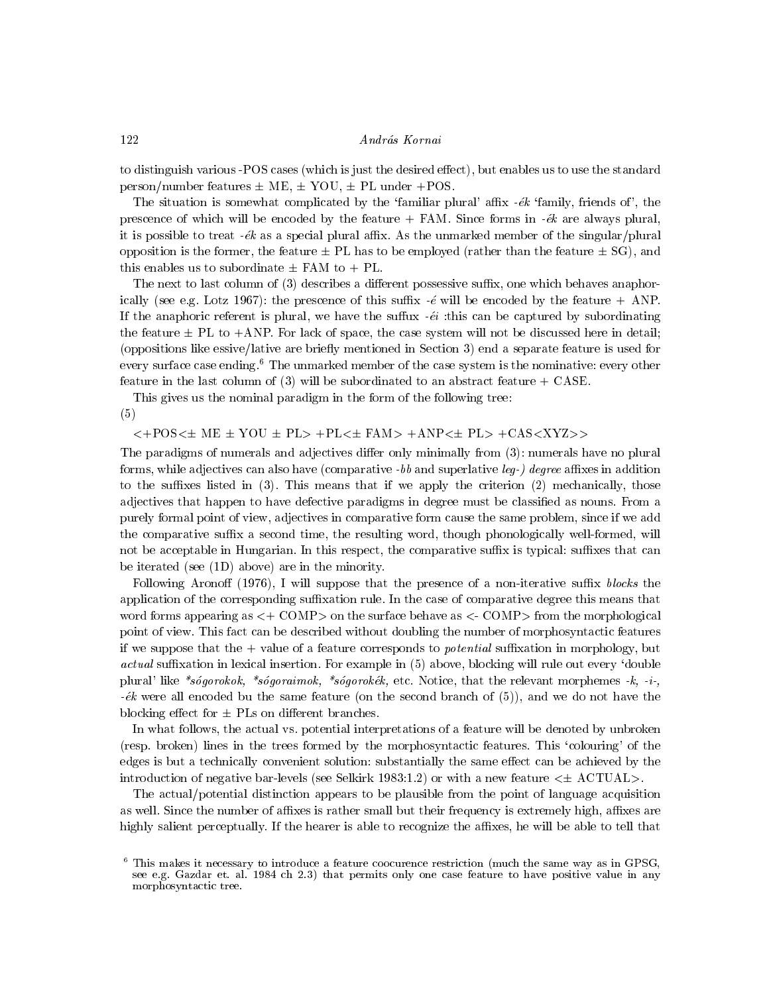to distinguish various -POS cases (which is just the desired effect), but enables us to use the standard person/number features  $\pm$  ME,  $\pm$  YOU,  $\pm$  PL under +POS.

The situation is somewhat complicated by the 'familiar plural' affix  $-\epsilon k$  'family, friends of', the prescence of which will be encoded by the feature  $+$  FAM. Since forms in  $-ek$  are always plural, it is possible to treat  $-ek$  as a special plural affix. As the unmarked member of the singular/plural opposition is the former, the feature  $\pm$  PL has to be employed (rather than the feature  $\pm$  SG), and this enables us to subordinate  $\pm$  FAM to  $+$  PL.

The next to last column of  $(3)$  describes a different possessive suffix, one which behaves anaphorically (see e.g. Lotz 1967): the prescence of this suffix  $-\ell$  will be encoded by the feature  $+$  ANP. If the anaphoric referent is plural, we have the suffux  $-e^{i}$  : this can be captured by subordinating the feature  $\pm$  PL to  $+$ ANP. For lack of space, the case system will not be discussed here in detail; (oppositions like essive/lative are briefly mentioned in Section 3) end a separate feature is used for every surface case ending.<sup>6</sup> The unmarked member of the case system is the nominative: every other feature in the last column of  $(3)$  will be subordinated to an abstract feature  $+$  CASE.

This gives us the nominal paradigm in the form of the following tree: (5)

 $\langle +\text{POS}\langle \pm \text{ME} \pm \text{YOU} \pm \text{PL}\rangle$  + $\text{PL}\langle \pm \text{FAM}\rangle$  + $\text{ANP}\langle \pm \text{PL}\rangle$  + $\text{CAS}\langle \text{XYZ}\rangle$ 

The paradigms of numerals and adjectives differ only minimally from (3): numerals have no plural forms, while adjectives can also have (comparative  $-bb$  and superlative leg-) degree affixes in addition to the suffixes listed in  $(3)$ . This means that if we apply the criterion  $(2)$  mechanically, those adjectives that happen to have defective paradigms in degree must be classified as nouns. From a purely formal point of view, adjectives in comparative form cause the same problem, since if we add the comparative suffix a second time, the resulting word, though phonologically well-formed, will not be acceptable in Hungarian. In this respect, the comparative suffix is typical: suffixes that can be iterated (see (1D) above) are in the minority.

Following Aronoff (1976), I will suppose that the presence of a non-iterative suffix blocks the application of the corresponding suffixation rule. In the case of comparative degree this means that word forms appearing as  $\lt+$  COMP $>$  on the surface behave as  $\lt-$  COMP $>$  from the morphological point of view. This fact can be described without doubling the number of morphosyntactic features if we suppose that the  $+$  value of a feature corresponds to *potential* suffixation in morphology, but  $actual$  suffixation in lexical insertion. For example in  $(5)$  above, blocking will rule out every 'double plural' like \*sogorokok, \*sogoraimok, \*sogorokek, etc. Notice, that the relevant morphemes -k, -i-,  $-ek$  were all encoded bu the same feature (on the second branch of  $(5)$ ), and we do not have the blocking effect for  $\pm$  PLs on different branches.

In what follows, the actual vs. potential interpretations of a feature will be denoted by unbroken (resp. broken) lines in the trees formed by the morphosyntactic features. This `colouring' of the edges is but a technically convenient solution: substantially the same effect can be achieved by the introduction of negative bar-levels (see Selkirk 1983:1.2) or with a new feature  $\leq \pm$  ACTUAL>.

The actual/potential distinction appears to be plausible from the point of language acquisition as well. Since the number of affixes is rather small but their frequency is extremely high, affixes are highly salient perceptually. If the hearer is able to recognize the affixes, he will be able to tell that

122

This makes it necessary to introduce a feature coocurence restriction (much the same way as in GPSG,  $\,$ see e.g. Gazdar et. al. 1984 ch 2.3) that permits only one case feature to have positive value in any morphosyntactic tree.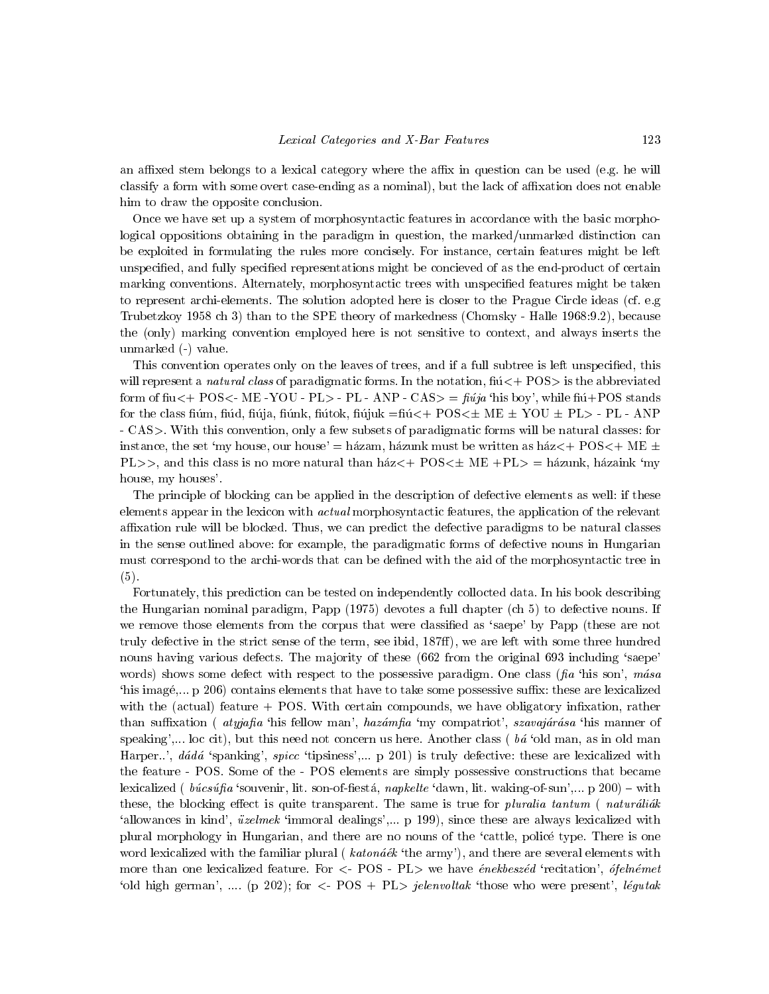an affixed stem belongs to a lexical category where the affix in question can be used (e.g. he will classify a form with some overt case-ending as a nominal), but the lack of affixation does not enable him to draw the opposite conclusion.

Once we have set up a system of morphosyntactic features in accordance with the basic morphological oppositions obtaining in the paradigm in question, the marked/unmarked distinction can be exploited in formulating the rules more concisely. For instance, certain features might be left unspecied, and fully specied representations might be concieved of as the end-product of certain marking conventions. Alternately, morphosyntactic trees with unspecied features might be taken to represent archi-elements. The solution adopted here is closer to the Prague Circle ideas (cf. e.g Trubetzkoy 1958 ch 3) than to the SPE theory of markedness (Chomsky - Halle 1968:9.2), because the (only) marking convention employed here is not sensitive to context, and always inserts the unmarked (-) value.

This convention operates only on the leaves of trees, and if a full subtree is left unspecied, this will represent a *natural class* of paradigmatic forms. In the notation,  $\text{fi}\ll+p\text{OS}>$  is the abbreviated form of fiu $\leftarrow$  POS $\leftarrow$  ME -YOU - PL> - PL - ANP - CAS $\leftarrow$  fuja 'his boy', while fiú+POS stands for the class fiúm, fiúd, fiúja, fiúnk, fiútok, fiújuk =fiú<+  $\mathrm{POS}\ll\pm \mathrm{ME} \pm \mathrm{YOU} \pm \mathrm{PL}$ > - PL - ANP - CAS>. With this convention, only a few subsets of paradigmatic forms will be natural classes: for instance, the set 'my house, our house' = házam, házunk must be written as ház $\lt$ + POS $\lt$ + ME  $\pm$ PL>>, and this class is no more natural than  $ház<+$  POS $\leq \pm$  ME +PL> = házunk, házaink 'my house, my houses'.

The principle of blocking can be applied in the description of defective elements as well: if these elements appear in the lexicon with *actual* morphosyntactic features, the application of the relevant affixation rule will be blocked. Thus, we can predict the defective paradigms to be natural classes in the sense outlined above: for example, the paradigmatic forms of defective nouns in Hungarian must correspond to the archi-words that can be defined with the aid of the morphosyntactic tree in (5).

Fortunately, this prediction can be tested on independently collocted data. In his book describing the Hungarian nominal paradigm, Papp (1975) devotes a full chapter (ch 5) to defective nouns. If we remove those elements from the corpus that were classified as 'saepe' by Papp (these are not truly defective in the strict sense of the term, see ibid, 187ff), we are left with some three hundred nouns having various defects. The majority of these (662 from the original 693 including 'saepe' words) shows some defect with respect to the possessive paradigm. One class (fig. this son',  $m\acute{a}s\acute{a}$ 'his imagé,...  $p$  206) contains elements that have to take some possessive suffix: these are lexicalized with the (actual) feature  $+$  POS. With certain compounds, we have obligatory infixation, rather than suffixation (*atyjafia* 'his fellow man', *hazámfia* 'my compatriot', *szavajárása* 'his manner of speaking',... loc cit), but this need not concern us here. Another class ( $b\acute{a}$  'old man, as in old man Harper..', dádá 'spanking', spicc 'tipsiness',... p 201) is truly defective: these are lexicalized with the feature - POS. Some of the -POS elements are simply possessive constructions that became lexicalized (  $búcsúfa$  'souvenir, lit. son-of-fiestá, napkelte 'dawn, lit. waking-of-sun',... p 200) – with these, the blocking effect is quite transparent. The same is true for pluralia tantum (naturaliak 'allowances in kind',  $üzelmek$  'immoral dealings',... p 199), since these are always lexicalized with plural morphology in Hungarian, and there are no nouns of the `cattle, police type. There is one word lexicalized with the familiar plural ( $katon\acute{a}\acute{e}\acute{k}$  'the army'), and there are several elements with more than one lexicalized feature. For  $\langle$ - POS - PL $>$  we have *énekbeszéd* 'recitation', *ófelnémet* 'old high german', .... (p 202); for  $\lt$ - POS + PL $>$  jelenvoltak 'those who were present', légutak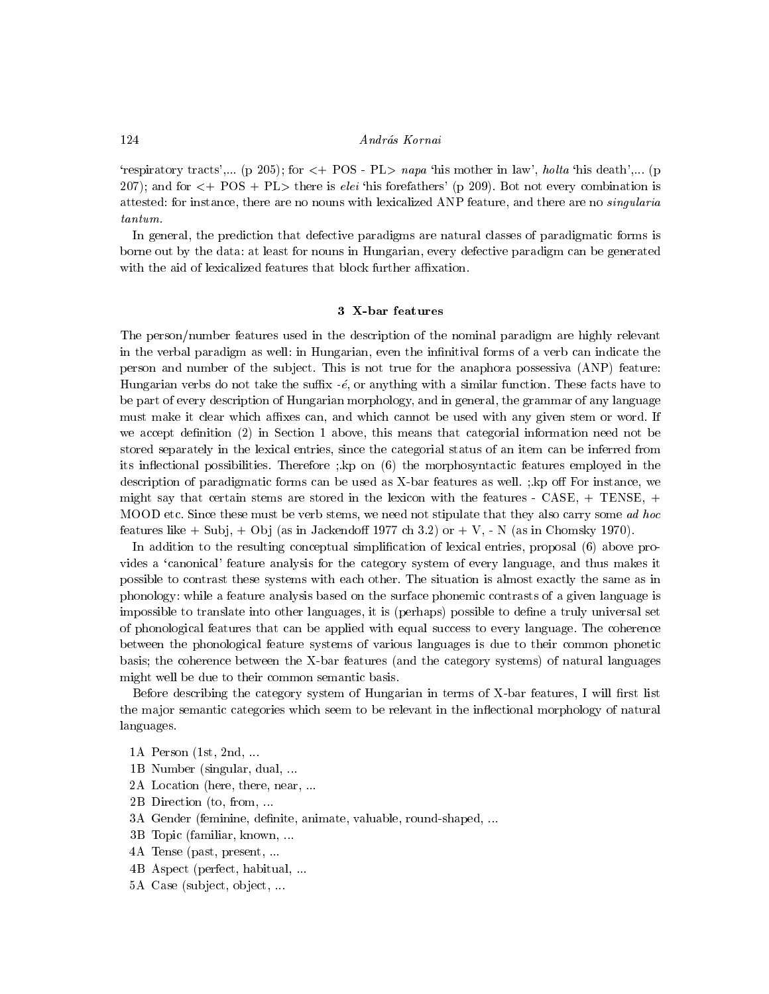# András Kornai

'respiratory tracts',... (p 205); for  $\langle +$  POS - PL $>$  napa 'his mother in law', holta 'his death',... (p 207); and for  $\lt$ + POS + PL $>$  there is *elei* 'his forefathers' (p 209). Bot not every combination is attested: for instance, there are no nouns with lexicalized ANP feature, and there are no *singularia* 

In general, the prediction that defective paradigms are natural classes of paradigmatic forms is borne out by the data: at least for nouns in Hungarian, every defective paradigm can be generated with the aid of lexicalized features that block further affixation.

### 3 X-bar features

The person/number features used in the description of the nominal paradigm are highly relevant in the verbal paradigm as well: in Hungarian, even the infinitival forms of a verb can indicate the person and number of the sub ject. This is not true for the anaphora possessiva (ANP) feature: Hungarian verbs do not take the suffix  $-\epsilon$ , or anything with a similar function. These facts have to be part of every description of Hungarian morphology, and in general, the grammar of any language must make it clear which affixes can, and which cannot be used with any given stem or word. If we accept definition  $(2)$  in Section 1 above, this means that categorial information need not be stored separately in the lexical entries, since the categorial status of an item can be inferred from its in
ectional possibilities. Therefore ;.kp on (6) the morphosyntactic features employed in the description of paradigmatic forms can be used as X-bar features as well.  $\therefore$  kp off For instance, we might say that certain stems are stored in the lexicon with the features -  $CASE, + TENSE, +$ MOOD etc. Since these must be verb stems, we need not stipulate that they also carry some ad hoc features like  $+$  Subj,  $+$  Obj (as in Jackendoff 1977 ch 3.2) or  $+$  V,  $-$  N (as in Chomsky 1970).

In addition to the resulting conceptual simplication of lexical entries, proposal (6) above provides a `canonical' feature analysis for the category system of every language, and thus makes it possible to contrast these systems with each other. The situation is almost exactly the same as in phonology: while a feature analysis based on the surface phonemic contrasts of a given language is impossible to translate into other languages, it is (perhaps) possible to dene a truly universal set of phonological features that can be applied with equal success to every language. The coherence between the phonological feature systems of various languages is due to their common phonetic basis; the coherence between the X-bar features (and the category systems) of natural languages might well be due to their common semantic basis.

Before describing the category system of Hungarian in terms of X-bar features, I will first list the major semantic categories which seem to be relevant in the inflectional morphology of natural languages.

- 1A Person (1st, 2nd, ...
- 1B Number (singular, dual, ...
- 2A Location (here, there, near, ...
- 2B Direction (to, from, ...
- 3A Gender (feminine, definite, animate, valuable, round-shaped, ...
- 3B Topic (familiar, known, ...
- 4A Tense (past, present, ...
- 4B Aspect (perfect, habitual, ...
- 5A Case (sub ject, ob ject, ...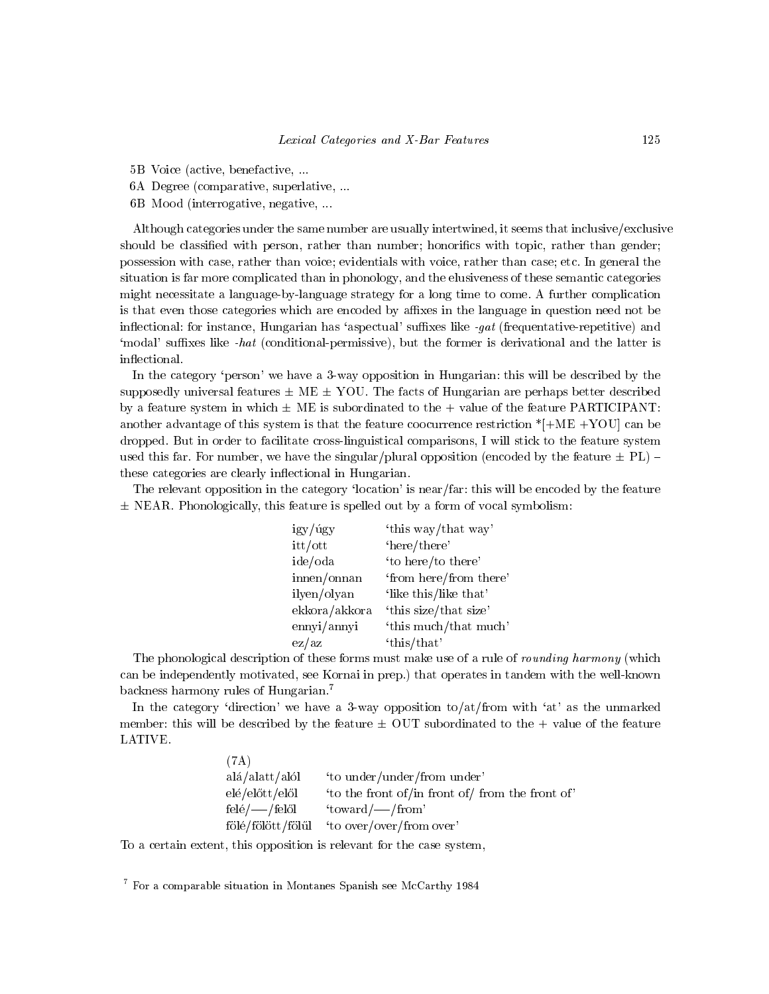- 5B Voice (active, benefactive, ...
- 6A Degree (comparative, superlative, ...
- 6B Mood (interrogative, negative, ...

Although categories under the same number are usually intertwined, it seems that inclusive/exclusive should be classified with person, rather than number; honorifics with topic, rather than gender; possession with case, rather than voice; evidentials with voice, rather than case; etc. In general the situation is far more complicated than in phonology, and the elusiveness of these semantic categories might necessitate a language-by-language strategy for a long time to come. A further complication is that even those categories which are encoded by affixes in the language in question need not be inflectional: for instance, Hungarian has 'aspectual' suffixes like -gat (frequentative-repetitive) and 'modal' suffixes like -hat (conditional-permissive), but the former is derivational and the latter is inflectional.

In the category 'person' we have a 3-way opposition in Hungarian: this will be described by the supposedly universal features  $\pm$  ME  $\pm$  YOU. The facts of Hungarian are perhaps better described by a feature system in which  $\pm$  ME is subordinated to the  $+$  value of the feature PARTICIPANT: another advantage of this system is that the feature coocurrence restriction  $*$ [+ME +YOU] can be dropped. But in order to facilitate cross-linguistical comparisons, I will stick to the feature system used this far. For number, we have the singular/plural opposition (encoded by the feature  $\pm$  PL)  $\pm$ these categories are clearly inflectional in Hungarian.

The relevant opposition in the category 'location' is near/far: this will be encoded by the feature  $\pm$  NEAR. Phonologically, this feature is spelled out by a form of vocal symbolism:

| igy/úgy       | 'this way/that way'    |
|---------------|------------------------|
| itt/ott       | 'here/there'           |
| ide/oda       | 'to here/to there'     |
| innen/onnan   | 'from here/from there' |
| ilyen/olyan   | 'like this/like that'  |
| ekkora/akkora | 'this size/that size'  |
| ennyi/annyi   | 'this much/that much'  |
| ez/az         | 'this/that'            |

The phonological description of these forms must make use of a rule of *rounding harmony* (which can be independently motivated, see Kornai in prep.) that operates in tandem with the well-known backness harmony rules of Hungarian.7

In the category 'direction' we have a 3-way opposition to/at/from with 'at' as the unmarked member: this will be described by the feature  $\pm$  OUT subordinated to the  $+$  value of the feature LATIVE.

| (7A)                     |                                                  |
|--------------------------|--------------------------------------------------|
| $a\alpha/a$ alatt / alól | 'to under/under/from under'                      |
| elé/előtt/elől           | 'to the front of/in front of/ from the front of' |
| felé/— /felől            | 'toward/ $\sim$ /from'                           |
| fölé/fölött/fölűl        | 'to over/over/from over'                         |

To a certain extent, this opposition is relevant for the case system,

 $\,$  - For a comparable situation in Montanes Spanish see McCarthy 1984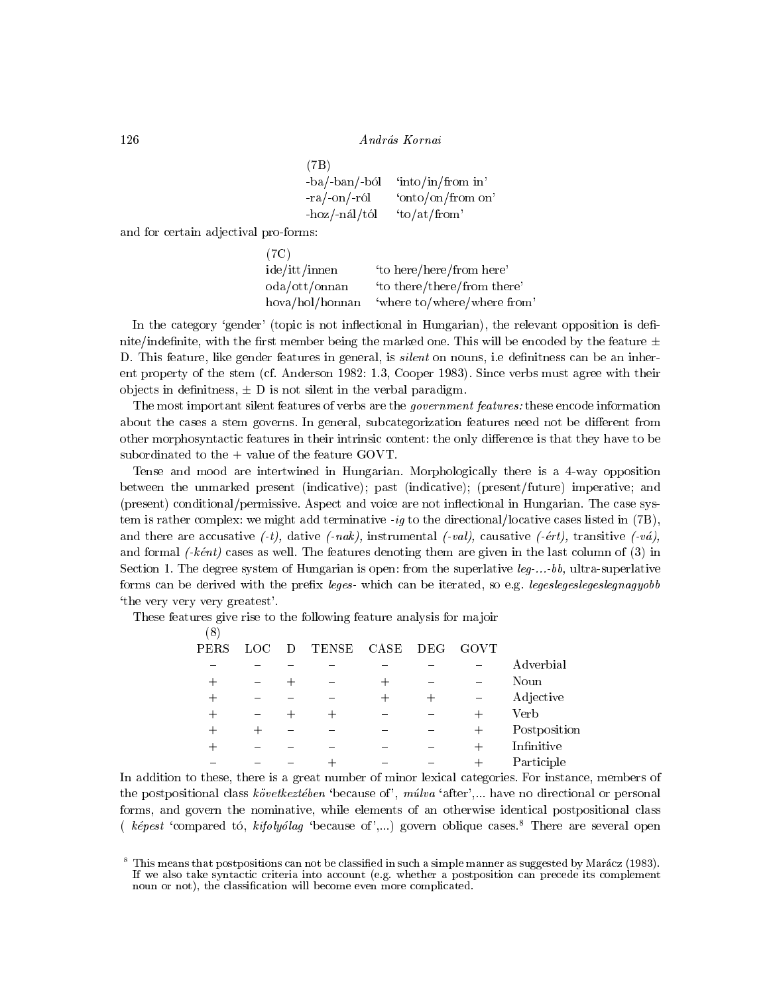András Kornai

```
(7B)
-ba/-ban/-ból 'into/in/from in'
-ra/-on/-r0 'onto/on/from on'
-hoz/-\n ial/tol to/at/from'
```
and for certain adjectival pro-forms:

| (7C)                                 |                             |
|--------------------------------------|-----------------------------|
| ide/itt/inner                        | 'to here/here/from here'    |
| $\text{oda}/\text{ott}/\text{onnan}$ | 'to there/there/from there' |
| hova/hol/honnan                      | 'where to/where/where from' |

In the category 'gender' (topic is not inflectional in Hungarian), the relevant opposition is definite/indefinite, with the first member being the marked one. This will be encoded by the feature  $\pm$ D. This feature, like gender features in general, is *silent* on nouns, i.e definitness can be an inherent property of the stem (cf. Anderson 1982: 1.3, Cooper 1983). Since verbs must agree with their objects in definitness,  $\pm$  D is not silent in the verbal paradigm.

The most important silent features of verbs are the *government features*: these encode information about the cases a stem governs. In general, subcategorization features need not be different from other morphosyntactic features in their intrinsic content: the only difference is that they have to be subordinated to the  $+$  value of the feature GOVT.

Tense and mood are intertwined in Hungarian. Morphologically there is a 4-way opposition between the unmarked present (indicative); past (indicative); (present/future) imperative; and (present) conditional/permissive. Aspect and voice are not inflectional in Hungarian. The case system is rather complex: we might add terminative  $-ig$  to the directional/locative cases listed in (7B), and there are accusative  $(-t)$ , dative  $(-nak)$ , instrumental  $(-val)$ , causative  $(-*et*t)$ , transitive  $(-\nu \hat{a})$ , and formal  $(-k\epsilon nt)$  cases as well. The features denoting them are given in the last column of (3) in Section 1. The degree system of Hungarian is open: from the superlative  $leg...bb$ , ultra-superlative forms can be derived with the prefix leges- which can be iterated, so e.g. legeslegeslegeslegnagyobb `the very very very greatest'.

These features give rise to the following feature analysis for majoir

(8)

| PERS | LOC- | - D | TENSE | $\rm{CASE}$ | DEG | GOVT   |                   |
|------|------|-----|-------|-------------|-----|--------|-------------------|
|      |      |     |       |             |     |        |                   |
|      |      |     |       |             |     |        | Adverbial         |
| 十    |      |     |       | 十           |     |        | Noun              |
| 十    |      |     |       |             |     |        | Adjective         |
| 十    |      |     |       |             |     |        | Verb              |
| ┭    | ∸    |     |       |             |     | $^{+}$ | Postposition      |
|      |      |     |       |             |     |        | Infinitive        |
|      |      |     |       |             |     |        | D <sub>orti</sub> |

In addition to these, there is a great number of minor lexical categories. For instance, members of the postpositional class következtében 'because of', múlva 'after',... have no directional or personal forms, and govern the nominative, while elements of an otherwise identical postpositional class (  $k\acute{e}pest$  'compared to,  $kifolyolag$  'because of',...) govern oblique cases.<sup>8</sup> There are several open

 ${ \bf 1}$  and  ${ \bf 2}$  are the set of the set of the set of the set of the set of the set of the set of the set of the set of the set of the set of the set of the set of the set of the set of the set of the set of the set

126

<sup>8</sup> This means that postpositions can not be classied in such a simple manner as suggested by Maracz (1983). If we also take syntactic criteria into account (e.g. whether a postposition can precede its complement noun or not), the classification will become even more complicated.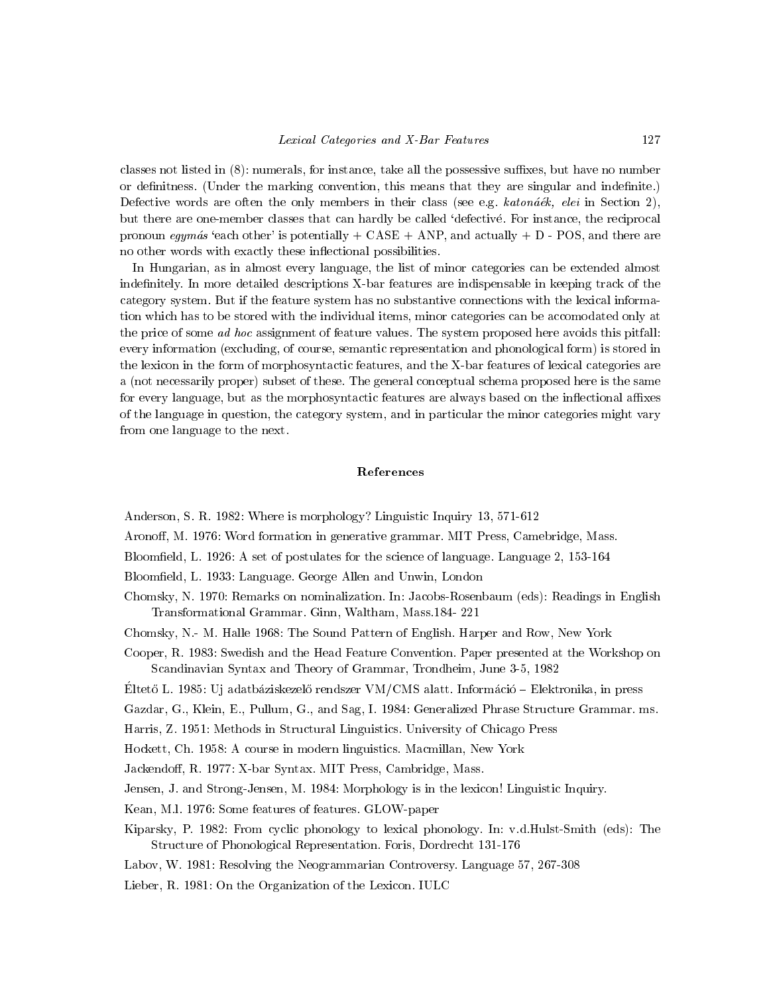classes not listed in  $(8)$ : numerals, for instance, take all the possessive suffixes, but have no number or definitness. (Under the marking convention, this means that they are singular and indefinite.) Defective words are often the only members in their class (see e.g.  $katon\acute{a}ek$ , elei in Section 2), but there are one-member classes that can hardly be called `defective. For instance, the reciprocal pronoun egymás 'each other' is potentially  $+$  CASE  $+$  ANP, and actually  $+$  D - POS, and there are no other words with exactly these in
ectional possibilities.

In Hungarian, as in almost every language, the list of minor categories can be extended almost indefinitely. In more detailed descriptions X-bar features are indispensable in keeping track of the category system. But if the feature system has no substantive connections with the lexical information which has to be stored with the individual items, minor categories can be accomodated only at the price of some *ad hoc* assignment of feature values. The system proposed here avoids this pitfall: every information (excluding, of course, semantic representation and phonological form) is stored in the lexicon in the form of morphosyntactic features, and the X-bar features of lexical categories are a (not necessarily proper) subset of these. The general conceptual schema proposed here is the same for every language, but as the morphosyntactic features are always based on the inflectional affixes of the language in question, the category system, and in particular the minor categories might vary from one language to the next.

# References

Anderson, S. R. 1982: Where is morphology? Linguistic Inquiry 13, 571-612

Aronoff, M. 1976: Word formation in generative grammar. MIT Press, Camebridge, Mass.

- Bloomfield, L. 1926: A set of postulates for the science of language. Language 2, 153-164
- Bloomfield, L. 1933: Language. George Allen and Unwin, London
- Chomsky, N. 1970: Remarks on nominalization. In: Jacobs-Rosenbaum (eds): Readings in English Transformational Grammar. Ginn, Waltham, Mass.184- 221
- Chomsky, N.- M. Halle 1968: The Sound Pattern of English. Harper and Row, New York
- Cooper, R. 1983: Swedish and the Head Feature Convention. Paper presented at the Workshop on Scandinavian Syntax and Theory of Grammar, Trondheim, June 3-5, 1982

 $\text{Euler}$ o El 1985. Uj adatbaziskezelo rendszer VM/CMS alatt. Informacio  $\text{Euler}$ ndinka, in press

Gazdar, G., Klein, E., Pullum, G., and Sag, I. 1984: Generalized Phrase Structure Grammar. ms.

Harris, Z. 1951: Methods in Structural Linguistics. University of Chicago Press

Hockett, Ch. 1958: A course in modern linguistics. Macmillan, New York

Jackendoff, R. 1977: X-bar Syntax. MIT Press, Cambridge, Mass.

Jensen, J. and Strong-Jensen, M. 1984: Morphology is in the lexicon! Linguistic Inquiry.

Kean, M.l. 1976: Some features of features. GLOW-paper

Kiparsky, P. 1982: From cyclic phonology to lexical phonology. In: v.d.Hulst-Smith (eds): The Structure of Phonological Representation. Foris, Dordrecht 131-176

Labov, W. 1981: Resolving the Neogrammarian Controversy. Language 57, 267-308

Lieber, R. 1981: On the Organization of the Lexicon. IULC